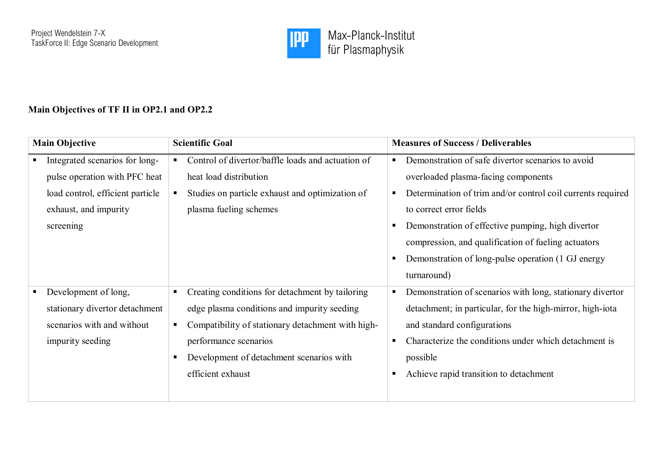

## **Main Objectives of TF II in OP2.1 and OP2.2**

| <b>Main Objective</b> |                                                                                                                                           | <b>Scientific Goal</b> |                                                                                                                                                                                                                                               | <b>Measures of Success / Deliverables</b>                                                                                                                                                                                                                                                                                                                           |  |
|-----------------------|-------------------------------------------------------------------------------------------------------------------------------------------|------------------------|-----------------------------------------------------------------------------------------------------------------------------------------------------------------------------------------------------------------------------------------------|---------------------------------------------------------------------------------------------------------------------------------------------------------------------------------------------------------------------------------------------------------------------------------------------------------------------------------------------------------------------|--|
|                       | Integrated scenarios for long-<br>pulse operation with PFC heat<br>load control, efficient particle<br>exhaust, and impurity<br>screening | ٠<br>п.                | Control of divertor/baffle loads and actuation of<br>heat load distribution<br>Studies on particle exhaust and optimization of<br>plasma fueling schemes                                                                                      | Demonstration of safe divertor scenarios to avoid<br>overloaded plasma-facing components<br>Determination of trim and/or control coil currents required<br>to correct error fields<br>Demonstration of effective pumping, high divertor<br>compression, and qualification of fueling actuators<br>Demonstration of long-pulse operation (1 GJ energy<br>turnaround) |  |
|                       | Development of long,<br>stationary divertor detachment<br>scenarios with and without<br>impurity seeding                                  | п.                     | Creating conditions for detachment by tailoring<br>edge plasma conditions and impurity seeding<br>Compatibility of stationary detachment with high-<br>performance scenarios<br>Development of detachment scenarios with<br>efficient exhaust | Demonstration of scenarios with long, stationary divertor<br>detachment; in particular, for the high-mirror, high-iota<br>and standard configurations<br>Characterize the conditions under which detachment is<br>possible<br>Achieve rapid transition to detachment                                                                                                |  |